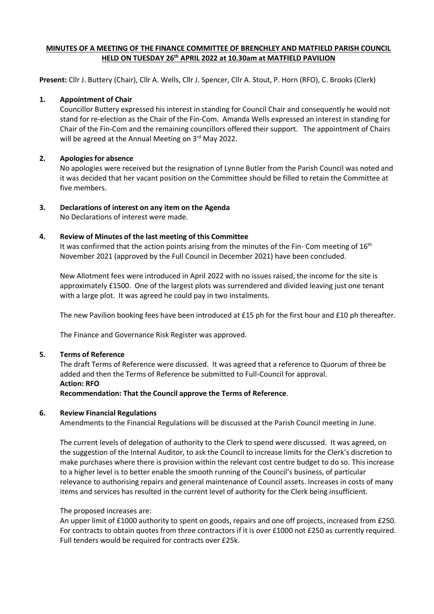# **MINUTES OF A MEETING OF THE FINANCE COMMITTEE OF BRENCHLEY AND MATFIELD PARISH COUNCIL HELD ON TUESDAY 26th APRIL 2022 at 10.30am at MATFIELD PAVILION**

**Present:** Cllr J. Buttery (Chair), Cllr A. Wells, Cllr J. Spencer, Cllr A. Stout, P. Horn (RFO), C. Brooks (Clerk)

### **1. Appointment of Chair**

Councillor Buttery expressed his interest in standing for Council Chair and consequently he would not stand for re-election as the Chair of the Fin-Com. Amanda Wells expressed an interest in standing for Chair of the Fin-Com and the remaining councillors offered their support. The appointment of Chairs will be agreed at the Annual Meeting on 3<sup>rd</sup> May 2022.

# **2. Apologies for absence**

No apologies were received but the resignation of Lynne Butler from the Parish Council was noted and it was decided that her vacant position on the Committee should be filled to retain the Committee at five members.

# **3. Declarations of interest on any item on the Agenda**

No Declarations of interest were made.

# **4. Review of Minutes of the last meeting of this Committee**

It was confirmed that the action points arising from the minutes of the Fin- Com meeting of  $16<sup>th</sup>$ November 2021 (approved by the Full Council in December 2021) have been concluded.

New Allotment fees were introduced in April 2022 with no issues raised, the income for the site is approximately £1500. One of the largest plots was surrendered and divided leaving just one tenant with a large plot. It was agreed he could pay in two instalments.

The new Pavilion booking fees have been introduced at £15 ph for the first hour and £10 ph thereafter.

The Finance and Governance Risk Register was approved.

### **5. Terms of Reference**

The draft Terms of Reference were discussed. It was agreed that a reference to Quorum of three be added and then the Terms of Reference be submitted to Full-Council for approval. **Action: RFO Recommendation: That the Council approve the Terms of Reference**.

### **6. Review Financial Regulations**

Amendments to the Financial Regulations will be discussed at the Parish Council meeting in June.

The current levels of delegation of authority to the Clerk to spend were discussed. It was agreed, on the suggestion of the Internal Auditor, to ask the Council to increase limits for the Clerk's discretion to make purchases where there is provision within the relevant cost centre budget to do so. This increase to a higher level is to better enable the smooth running of the Council's business, of particular relevance to authorising repairs and general maintenance of Council assets. Increases in costs of many items and services has resulted in the current level of authority for the Clerk being insufficient.

### The proposed increases are:

An upper limit of £1000 authority to spent on goods, repairs and one off projects, increased from £250. For contracts to obtain quotes from three contractors if it is over £1000 not £250 as currently required. Full tenders would be required for contracts over £25k.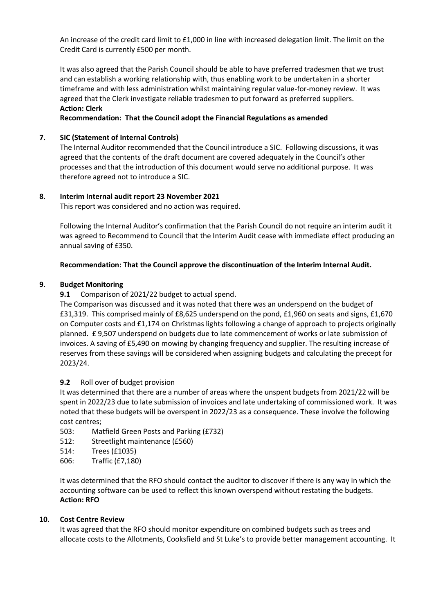An increase of the credit card limit to £1,000 in line with increased delegation limit. The limit on the Credit Card is currently £500 per month.

It was also agreed that the Parish Council should be able to have preferred tradesmen that we trust and can establish a working relationship with, thus enabling work to be undertaken in a shorter timeframe and with less administration whilst maintaining regular value-for-money review. It was agreed that the Clerk investigate reliable tradesmen to put forward as preferred suppliers. **Action: Clerk**

**Recommendation: That the Council adopt the Financial Regulations as amended**

# **7. SIC (Statement of Internal Controls)**

The Internal Auditor recommended that the Council introduce a SIC. Following discussions, it was agreed that the contents of the draft document are covered adequately in the Council's other processes and that the introduction of this document would serve no additional purpose. It was therefore agreed not to introduce a SIC.

# **8. Interim Internal audit report 23 November 2021**

This report was considered and no action was required.

Following the Internal Auditor's confirmation that the Parish Council do not require an interim audit it was agreed to Recommend to Council that the Interim Audit cease with immediate effect producing an annual saving of £350.

# **Recommendation: That the Council approve the discontinuation of the Interim Internal Audit.**

# **9. Budget Monitoring**

**9.1** Comparison of 2021/22 budget to actual spend.

The Comparison was discussed and it was noted that there was an underspend on the budget of £31,319. This comprised mainly of £8,625 underspend on the pond, £1,960 on seats and signs, £1,670 on Computer costs and £1,174 on Christmas lights following a change of approach to projects originally planned. £ 9,507 underspend on budgets due to late commencement of works or late submission of invoices. A saving of £5,490 on mowing by changing frequency and supplier. The resulting increase of reserves from these savings will be considered when assigning budgets and calculating the precept for 2023/24.

### **9.2** Roll over of budget provision

It was determined that there are a number of areas where the unspent budgets from 2021/22 will be spent in 2022/23 due to late submission of invoices and late undertaking of commissioned work. It was noted that these budgets will be overspent in 2022/23 as a consequence. These involve the following cost centres;

- 503: Matfield Green Posts and Parking (£732)
- 512: Streetlight maintenance (£560)
- 514: Trees (£1035)
- 606: Traffic (£7,180)

It was determined that the RFO should contact the auditor to discover if there is any way in which the accounting software can be used to reflect this known overspend without restating the budgets. **Action: RFO**

### **10. Cost Centre Review**

It was agreed that the RFO should monitor expenditure on combined budgets such as trees and allocate costs to the Allotments, Cooksfield and St Luke's to provide better management accounting. It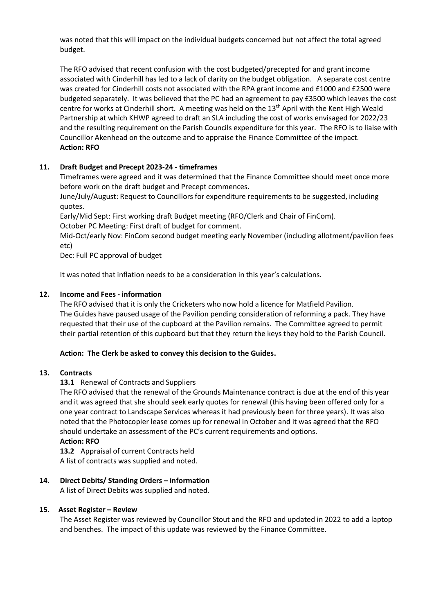was noted that this will impact on the individual budgets concerned but not affect the total agreed budget.

The RFO advised that recent confusion with the cost budgeted/precepted for and grant income associated with Cinderhill has led to a lack of clarity on the budget obligation. A separate cost centre was created for Cinderhill costs not associated with the RPA grant income and £1000 and £2500 were budgeted separately. It was believed that the PC had an agreement to pay £3500 which leaves the cost centre for works at Cinderhill short. A meeting was held on the 13th April with the Kent High Weald Partnership at which KHWP agreed to draft an SLA including the cost of works envisaged for 2022/23 and the resulting requirement on the Parish Councils expenditure for this year. The RFO is to liaise with Councillor Akenhead on the outcome and to appraise the Finance Committee of the impact. **Action: RFO**

# **11. Draft Budget and Precept 2023-24 - timeframes**

Timeframes were agreed and it was determined that the Finance Committee should meet once more before work on the draft budget and Precept commences.

June/July/August: Request to Councillors for expenditure requirements to be suggested, including quotes.

Early/Mid Sept: First working draft Budget meeting (RFO/Clerk and Chair of FinCom). October PC Meeting: First draft of budget for comment.

Mid-Oct/early Nov: FinCom second budget meeting early November (including allotment/pavilion fees etc)

Dec: Full PC approval of budget

It was noted that inflation needs to be a consideration in this year's calculations.

# **12. Income and Fees - information**

The RFO advised that it is only the Cricketers who now hold a licence for Matfield Pavilion. The Guides have paused usage of the Pavilion pending consideration of reforming a pack. They have requested that their use of the cupboard at the Pavilion remains. The Committee agreed to permit their partial retention of this cupboard but that they return the keys they hold to the Parish Council.

### **Action: The Clerk be asked to convey this decision to the Guides.**

# **13. Contracts**

# 13.1 Renewal of Contracts and Suppliers

The RFO advised that the renewal of the Grounds Maintenance contract is due at the end of this year and it was agreed that she should seek early quotes for renewal (this having been offered only for a one year contract to Landscape Services whereas it had previously been for three years). It was also noted that the Photocopier lease comes up for renewal in October and it was agreed that the RFO should undertake an assessment of the PC's current requirements and options.

### **Action: RFO**

**13.2** Appraisal of current Contracts held A list of contracts was supplied and noted.

# **14. Direct Debits/ Standing Orders – information**

A list of Direct Debits was supplied and noted.

### **15. Asset Register – Review**

The Asset Register was reviewed by Councillor Stout and the RFO and updated in 2022 to add a laptop and benches. The impact of this update was reviewed by the Finance Committee.